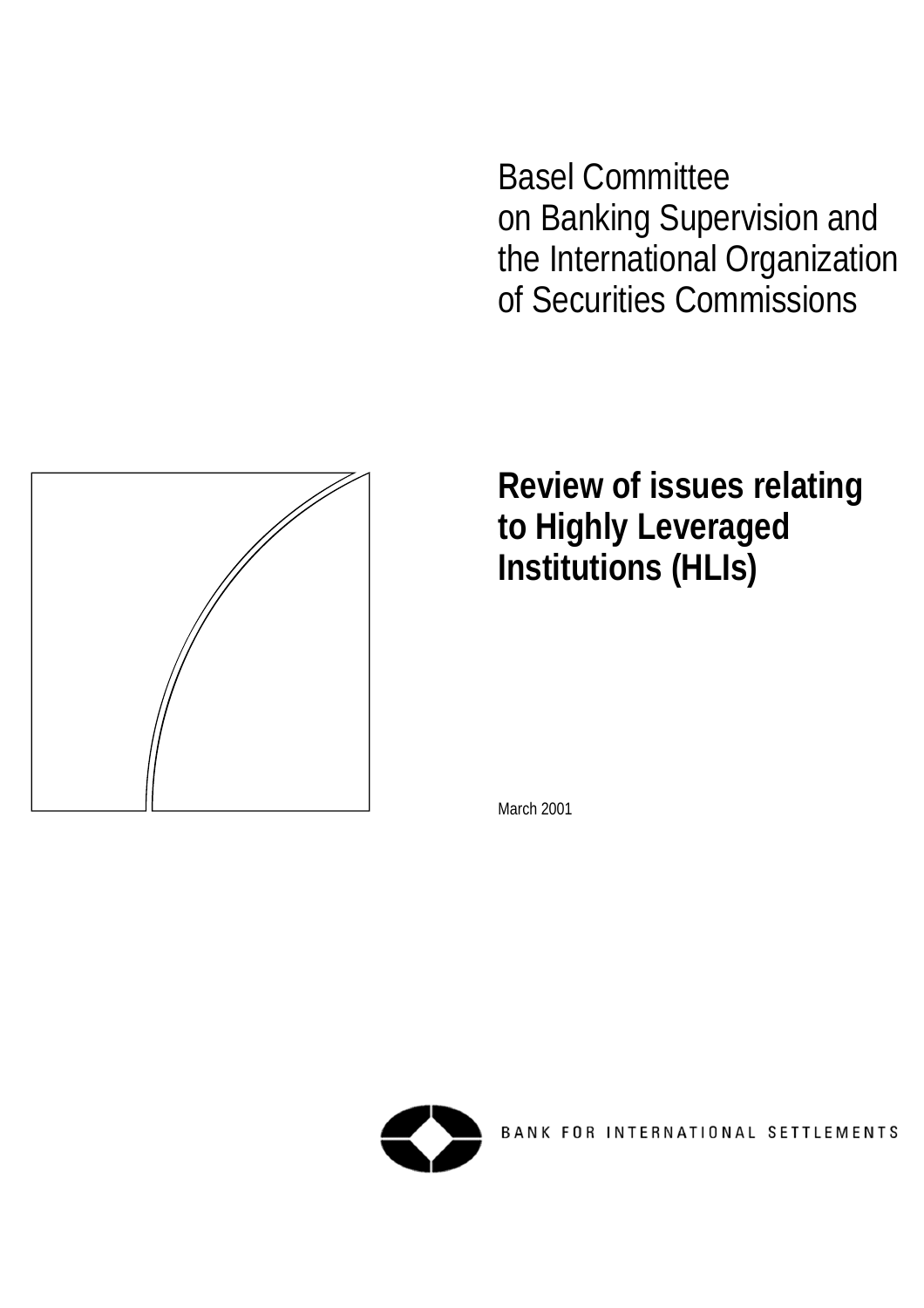Basel Committee on Banking Supervision and the International Organization of Securities Commissions



**Review of issues relating to Highly Leveraged Institutions (HLIs)**

March 2001



BANK FOR INTERNATIONAL SETTLEMENTS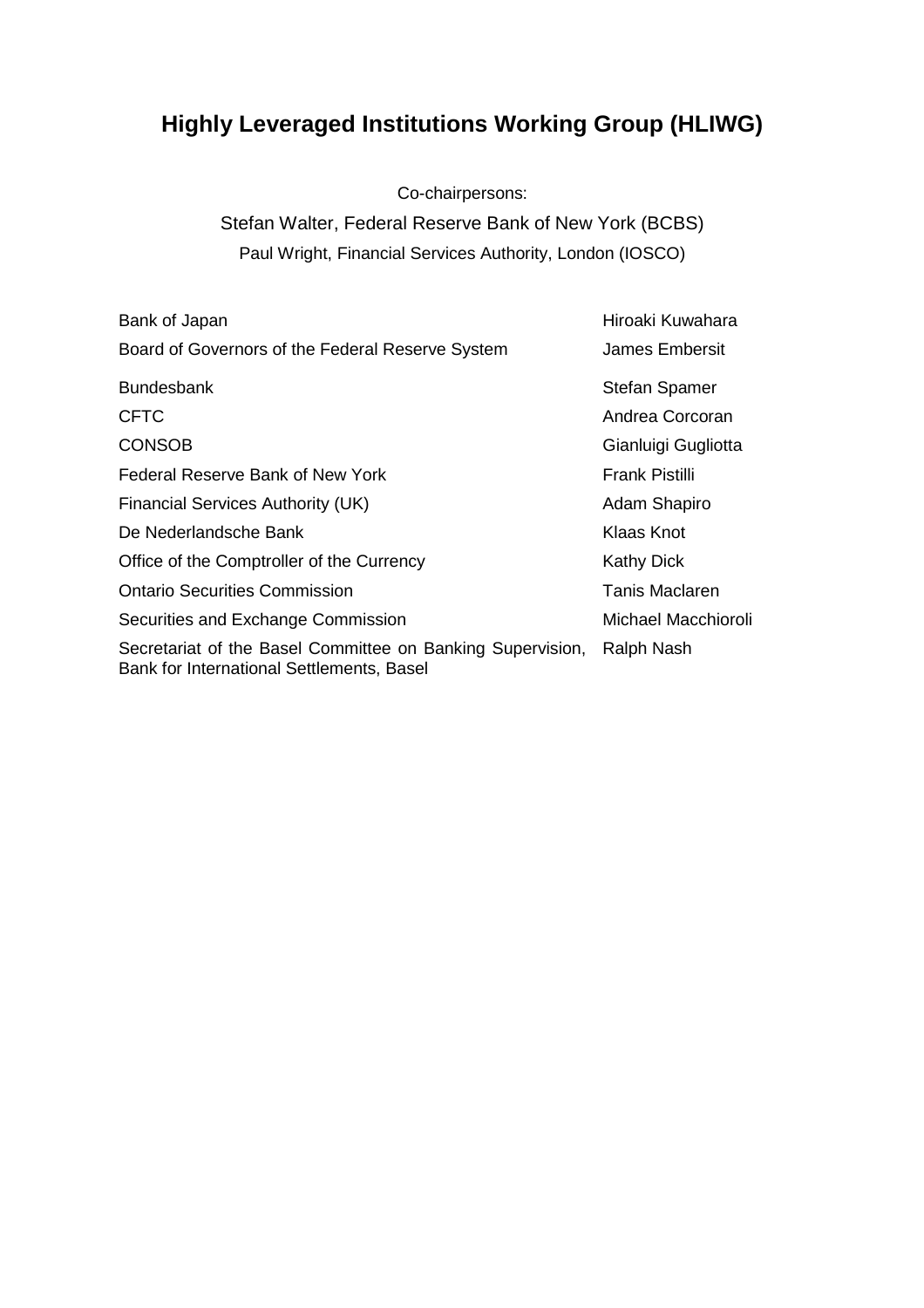# **Highly Leveraged Institutions Working Group (HLIWG)**

Co-chairpersons:

Stefan Walter, Federal Reserve Bank of New York (BCBS) Paul Wright, Financial Services Authority, London (IOSCO)

| Bank of Japan                                                                                           | Hiroaki Kuwahara      |
|---------------------------------------------------------------------------------------------------------|-----------------------|
| Board of Governors of the Federal Reserve System                                                        | James Embersit        |
| <b>Bundesbank</b>                                                                                       | <b>Stefan Spamer</b>  |
| <b>CFTC</b>                                                                                             | Andrea Corcoran       |
| <b>CONSOB</b>                                                                                           | Gianluigi Gugliotta   |
| Federal Reserve Bank of New York                                                                        | <b>Frank Pistilli</b> |
| Financial Services Authority (UK)                                                                       | Adam Shapiro          |
| De Nederlandsche Bank                                                                                   | Klaas Knot            |
| Office of the Comptroller of the Currency                                                               | <b>Kathy Dick</b>     |
| <b>Ontario Securities Commission</b>                                                                    | <b>Tanis Maclaren</b> |
| Securities and Exchange Commission                                                                      | Michael Macchioroli   |
| Secretariat of the Basel Committee on Banking Supervision,<br>Bank for International Settlements, Basel | Ralph Nash            |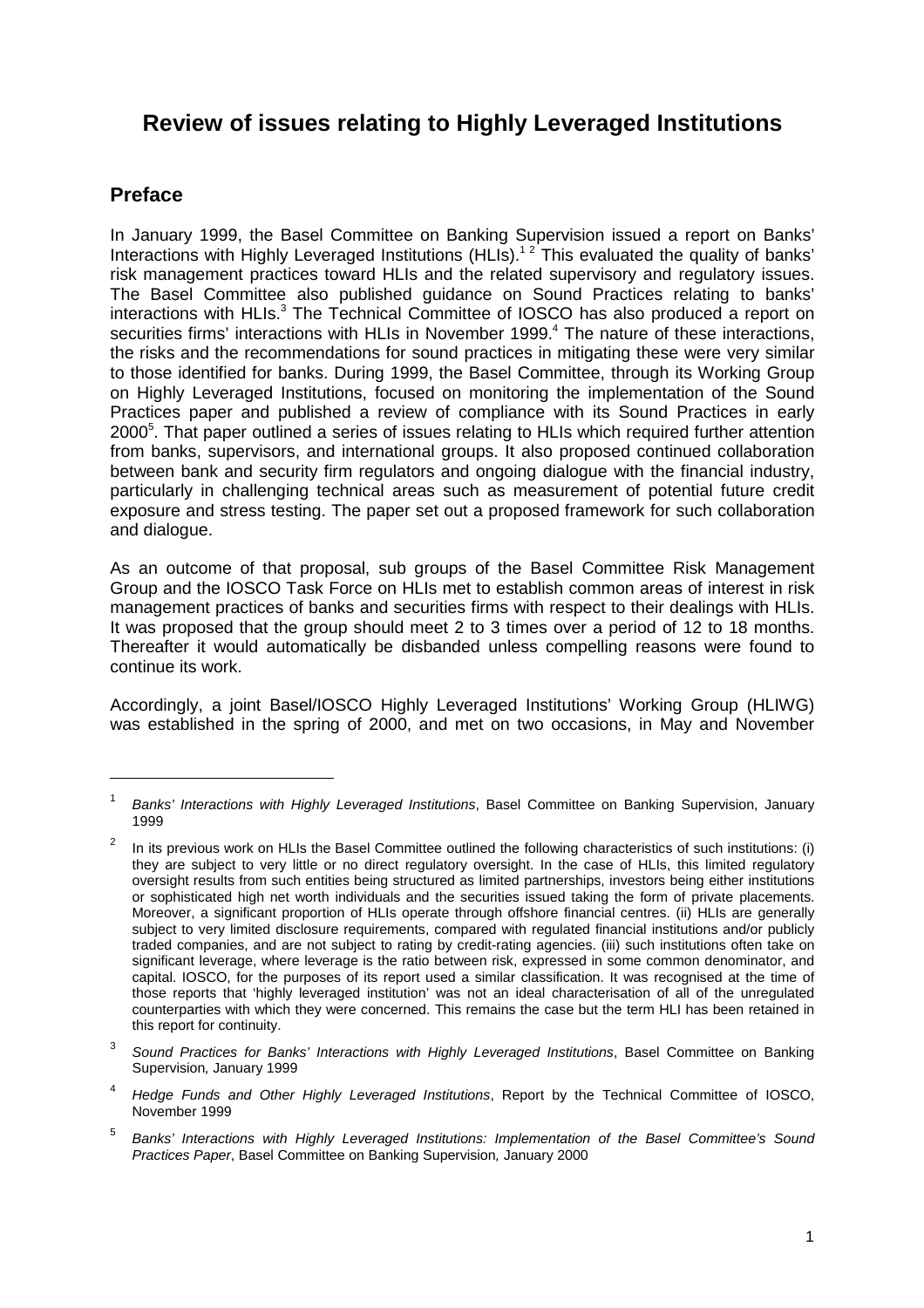# **Review of issues relating to Highly Leveraged Institutions**

# **Preface**

 $\overline{a}$ 

In January 1999, the Basel Committee on Banking Supervision issued a report on Banks' Interactions with Highly Leveraged Institutions (HLIs).<sup>12</sup> This evaluated the quality of banks' risk management practices toward HLIs and the related supervisory and regulatory issues. The Basel Committee also published guidance on Sound Practices relating to banks' interactions with HLIs.<sup>3</sup> The Technical Committee of IOSCO has also produced a report on securities firms' interactions with HLIs in November 1999.<sup>4</sup> The nature of these interactions, the risks and the recommendations for sound practices in mitigating these were very similar to those identified for banks. During 1999, the Basel Committee, through its Working Group on Highly Leveraged Institutions, focused on monitoring the implementation of the Sound Practices paper and published a review of compliance with its Sound Practices in early 2000<sup>5</sup>. That paper outlined a series of issues relating to HLIs which required further attention from banks, supervisors, and international groups. It also proposed continued collaboration between bank and security firm regulators and ongoing dialogue with the financial industry, particularly in challenging technical areas such as measurement of potential future credit exposure and stress testing. The paper set out a proposed framework for such collaboration and dialogue.

As an outcome of that proposal, sub groups of the Basel Committee Risk Management Group and the IOSCO Task Force on HLIs met to establish common areas of interest in risk management practices of banks and securities firms with respect to their dealings with HLIs. It was proposed that the group should meet 2 to 3 times over a period of 12 to 18 months. Thereafter it would automatically be disbanded unless compelling reasons were found to continue its work.

Accordingly, a joint Basel/IOSCO Highly Leveraged Institutions' Working Group (HLIWG) was established in the spring of 2000, and met on two occasions, in May and November

<sup>1</sup> *Banks' Interactions with Highly Leveraged Institutions*, Basel Committee on Banking Supervision, January 1999

<sup>2</sup> In its previous work on HLIs the Basel Committee outlined the following characteristics of such institutions: (i) they are subject to very little or no direct regulatory oversight. In the case of HLIs, this limited regulatory oversight results from such entities being structured as limited partnerships, investors being either institutions or sophisticated high net worth individuals and the securities issued taking the form of private placements. Moreover, a significant proportion of HLIs operate through offshore financial centres. (ii) HLIs are generally subject to very limited disclosure requirements, compared with regulated financial institutions and/or publicly traded companies, and are not subject to rating by credit-rating agencies. (iii) such institutions often take on significant leverage, where leverage is the ratio between risk, expressed in some common denominator, and capital. IOSCO, for the purposes of its report used a similar classification. It was recognised at the time of those reports that 'highly leveraged institution' was not an ideal characterisation of all of the unregulated counterparties with which they were concerned. This remains the case but the term HLI has been retained in this report for continuity.

<sup>3</sup> *Sound Practices for Banks' Interactions with Highly Leveraged Institutions*, Basel Committee on Banking Supervision*,* January 1999

<sup>4</sup> *Hedge Funds and Other Highly Leveraged Institutions*, Report by the Technical Committee of IOSCO, November 1999

<sup>5</sup> *Banks' Interactions with Highly Leveraged Institutions: Implementation of the Basel Committee's Sound Practices Paper*, Basel Committee on Banking Supervision*,* January 2000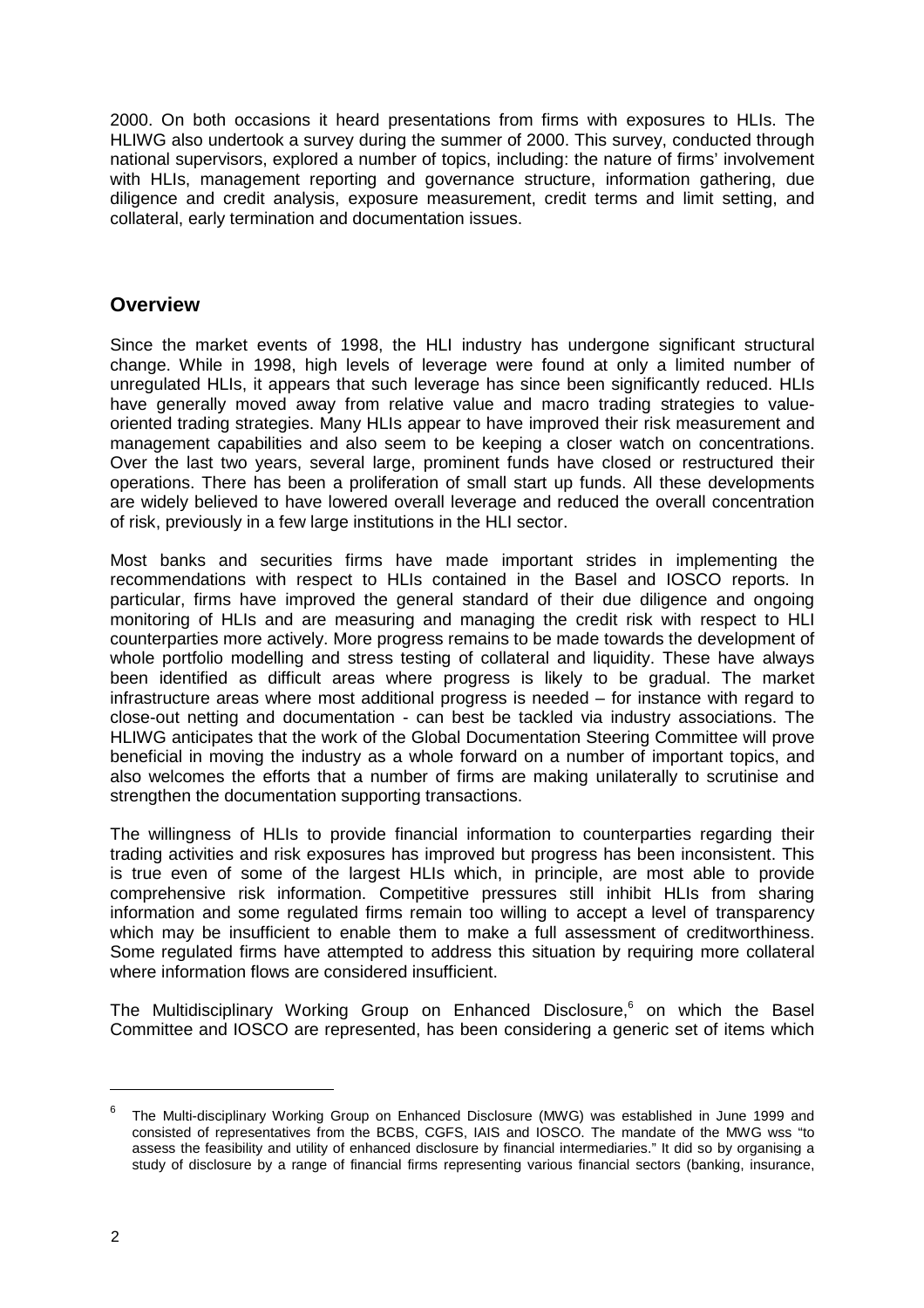2000. On both occasions it heard presentations from firms with exposures to HLIs. The HLIWG also undertook a survey during the summer of 2000. This survey, conducted through national supervisors, explored a number of topics, including: the nature of firms' involvement with HLIs, management reporting and governance structure, information gathering, due diligence and credit analysis, exposure measurement, credit terms and limit setting, and collateral, early termination and documentation issues.

# **Overview**

Since the market events of 1998, the HLI industry has undergone significant structural change. While in 1998, high levels of leverage were found at only a limited number of unregulated HLIs, it appears that such leverage has since been significantly reduced. HLIs have generally moved away from relative value and macro trading strategies to valueoriented trading strategies. Many HLIs appear to have improved their risk measurement and management capabilities and also seem to be keeping a closer watch on concentrations. Over the last two years, several large, prominent funds have closed or restructured their operations. There has been a proliferation of small start up funds. All these developments are widely believed to have lowered overall leverage and reduced the overall concentration of risk, previously in a few large institutions in the HLI sector.

Most banks and securities firms have made important strides in implementing the recommendations with respect to HLIs contained in the Basel and IOSCO reports. In particular, firms have improved the general standard of their due diligence and ongoing monitoring of HLIs and are measuring and managing the credit risk with respect to HLI counterparties more actively. More progress remains to be made towards the development of whole portfolio modelling and stress testing of collateral and liquidity. These have always been identified as difficult areas where progress is likely to be gradual. The market infrastructure areas where most additional progress is needed – for instance with regard to close-out netting and documentation - can best be tackled via industry associations. The HLIWG anticipates that the work of the Global Documentation Steering Committee will prove beneficial in moving the industry as a whole forward on a number of important topics, and also welcomes the efforts that a number of firms are making unilaterally to scrutinise and strengthen the documentation supporting transactions.

The willingness of HLIs to provide financial information to counterparties regarding their trading activities and risk exposures has improved but progress has been inconsistent. This is true even of some of the largest HLIs which, in principle, are most able to provide comprehensive risk information. Competitive pressures still inhibit HLIs from sharing information and some regulated firms remain too willing to accept a level of transparency which may be insufficient to enable them to make a full assessment of creditworthiness. Some regulated firms have attempted to address this situation by requiring more collateral where information flows are considered insufficient.

The Multidisciplinary Working Group on Enhanced Disclosure,<sup>6</sup> on which the Basel Committee and IOSCO are represented, has been considering a generic set of items which

<sup>6</sup> The Multi-disciplinary Working Group on Enhanced Disclosure (MWG) was established in June 1999 and consisted of representatives from the BCBS, CGFS, IAIS and IOSCO. The mandate of the MWG wss "to assess the feasibility and utility of enhanced disclosure by financial intermediaries." It did so by organising a study of disclosure by a range of financial firms representing various financial sectors (banking, insurance,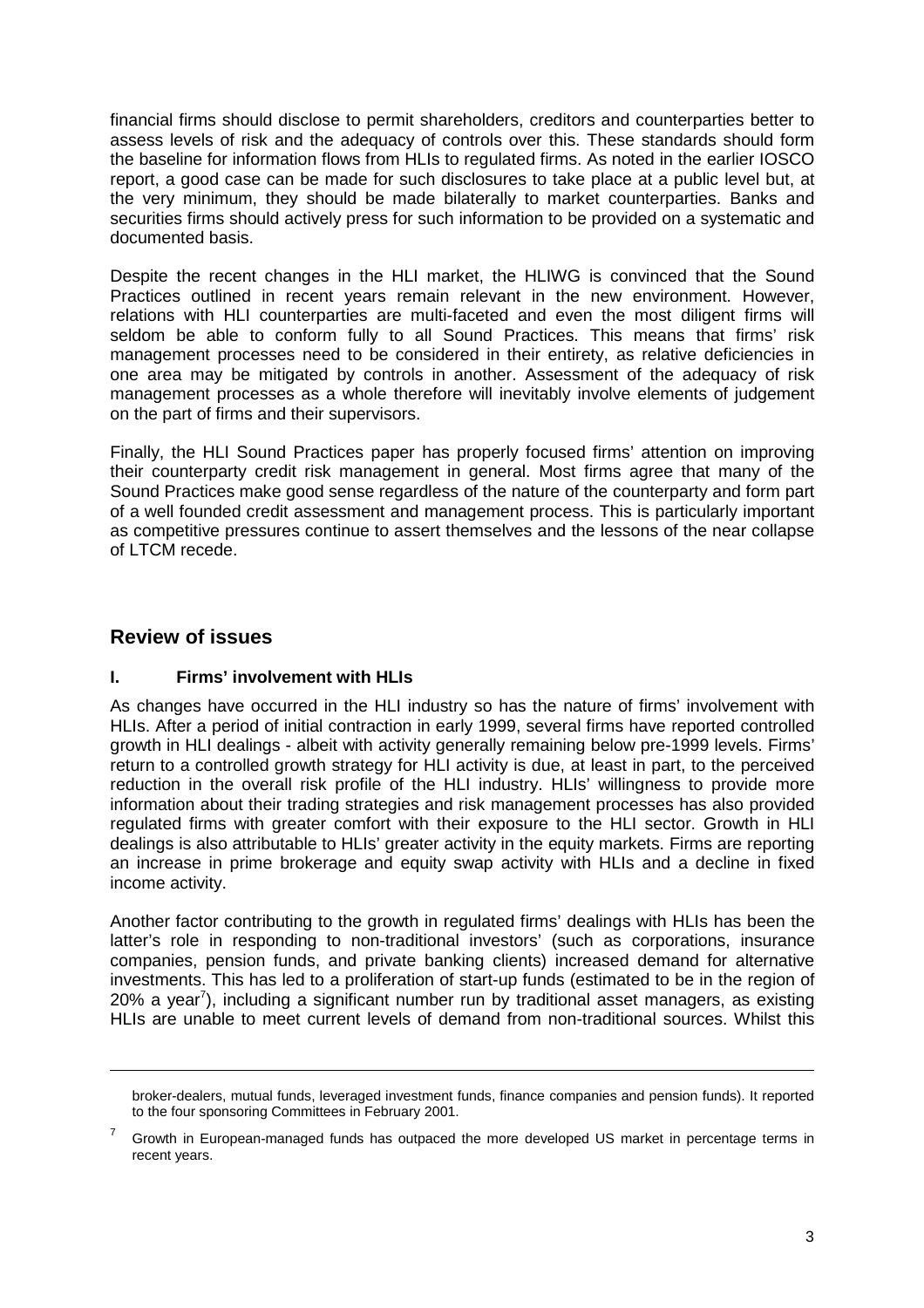financial firms should disclose to permit shareholders, creditors and counterparties better to assess levels of risk and the adequacy of controls over this. These standards should form the baseline for information flows from HLIs to regulated firms. As noted in the earlier IOSCO report, a good case can be made for such disclosures to take place at a public level but, at the very minimum, they should be made bilaterally to market counterparties. Banks and securities firms should actively press for such information to be provided on a systematic and documented basis.

Despite the recent changes in the HLI market, the HLIWG is convinced that the Sound Practices outlined in recent years remain relevant in the new environment. However, relations with HLI counterparties are multi-faceted and even the most diligent firms will seldom be able to conform fully to all Sound Practices. This means that firms' risk management processes need to be considered in their entirety, as relative deficiencies in one area may be mitigated by controls in another. Assessment of the adequacy of risk management processes as a whole therefore will inevitably involve elements of judgement on the part of firms and their supervisors.

Finally, the HLI Sound Practices paper has properly focused firms' attention on improving their counterparty credit risk management in general. Most firms agree that many of the Sound Practices make good sense regardless of the nature of the counterparty and form part of a well founded credit assessment and management process. This is particularly important as competitive pressures continue to assert themselves and the lessons of the near collapse of LTCM recede.

# **Review of issues**

# **I. Firms' involvement with HLIs**

As changes have occurred in the HLI industry so has the nature of firms' involvement with HLIs. After a period of initial contraction in early 1999, several firms have reported controlled growth in HLI dealings - albeit with activity generally remaining below pre-1999 levels. Firms' return to a controlled growth strategy for HLI activity is due, at least in part, to the perceived reduction in the overall risk profile of the HLI industry. HLIs' willingness to provide more information about their trading strategies and risk management processes has also provided regulated firms with greater comfort with their exposure to the HLI sector. Growth in HLI dealings is also attributable to HLIs' greater activity in the equity markets. Firms are reporting an increase in prime brokerage and equity swap activity with HLIs and a decline in fixed income activity.

Another factor contributing to the growth in regulated firms' dealings with HLIs has been the latter's role in responding to non-traditional investors' (such as corporations, insurance companies, pension funds, and private banking clients) increased demand for alternative investments. This has led to a proliferation of start-up funds (estimated to be in the region of 20% a year<sup>7</sup>), including a significant number run by traditional asset managers, as existing HLIs are unable to meet current levels of demand from non-traditional sources. Whilst this

broker-dealers, mutual funds, leveraged investment funds, finance companies and pension funds). It reported to the four sponsoring Committees in February 2001.

<sup>7</sup> Growth in European-managed funds has outpaced the more developed US market in percentage terms in recent years.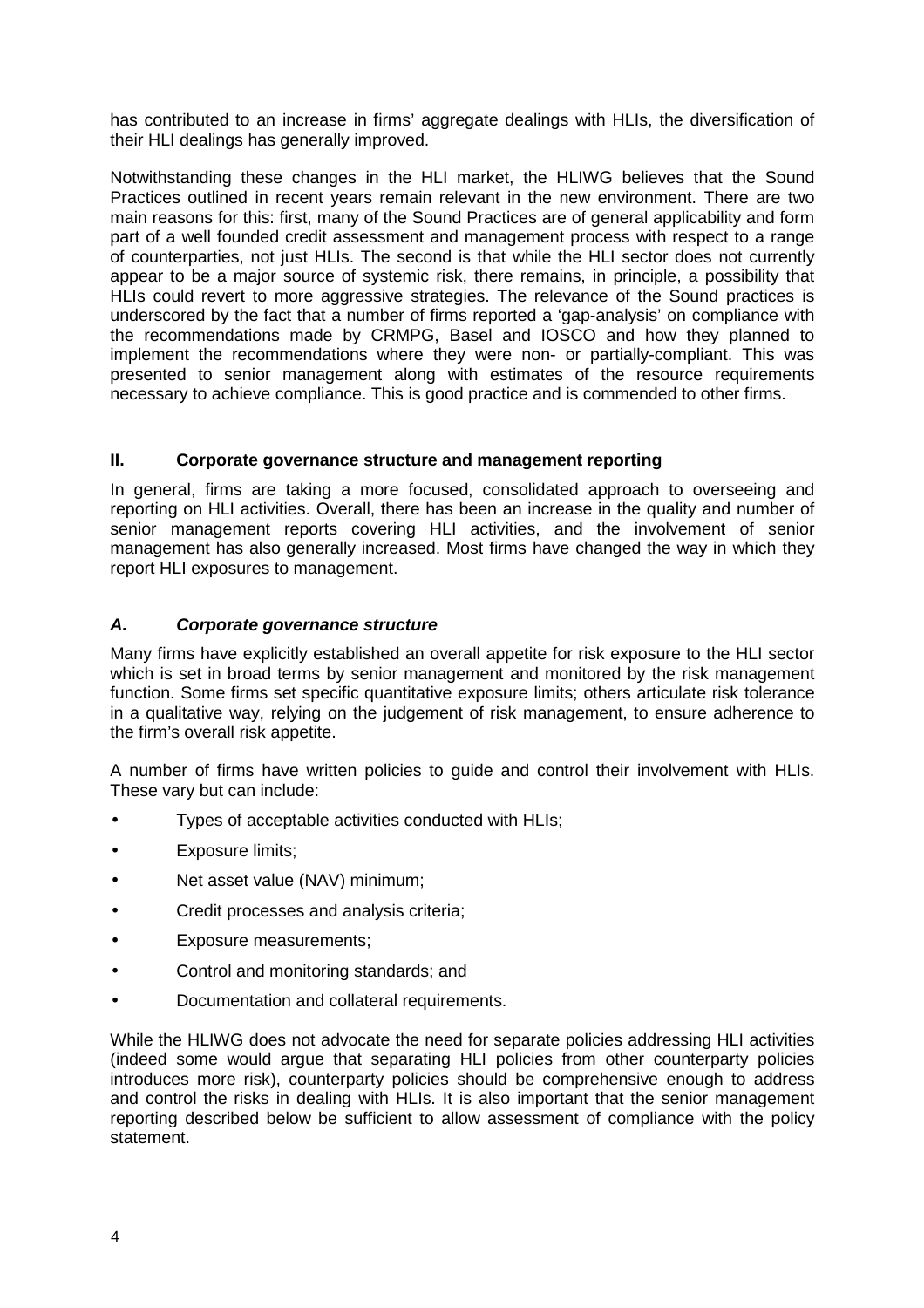has contributed to an increase in firms' aggregate dealings with HLIs, the diversification of their HLI dealings has generally improved.

Notwithstanding these changes in the HLI market, the HLIWG believes that the Sound Practices outlined in recent years remain relevant in the new environment. There are two main reasons for this: first, many of the Sound Practices are of general applicability and form part of a well founded credit assessment and management process with respect to a range of counterparties, not just HLIs. The second is that while the HLI sector does not currently appear to be a major source of systemic risk, there remains, in principle, a possibility that HLIs could revert to more aggressive strategies. The relevance of the Sound practices is underscored by the fact that a number of firms reported a 'gap-analysis' on compliance with the recommendations made by CRMPG, Basel and IOSCO and how they planned to implement the recommendations where they were non- or partially-compliant. This was presented to senior management along with estimates of the resource requirements necessary to achieve compliance. This is good practice and is commended to other firms.

#### **II. Corporate governance structure and management reporting**

In general, firms are taking a more focused, consolidated approach to overseeing and reporting on HLI activities. Overall, there has been an increase in the quality and number of senior management reports covering HLI activities, and the involvement of senior management has also generally increased. Most firms have changed the way in which they report HLI exposures to management.

#### *A. Corporate governance structure*

Many firms have explicitly established an overall appetite for risk exposure to the HLI sector which is set in broad terms by senior management and monitored by the risk management function. Some firms set specific quantitative exposure limits; others articulate risk tolerance in a qualitative way, relying on the judgement of risk management, to ensure adherence to the firm's overall risk appetite.

A number of firms have written policies to guide and control their involvement with HLIs. These vary but can include:

- Types of acceptable activities conducted with HLIs;
- Exposure limits:
- Net asset value (NAV) minimum;
- Credit processes and analysis criteria;
- Exposure measurements;
- Control and monitoring standards; and
- Documentation and collateral requirements.

While the HLIWG does not advocate the need for separate policies addressing HLI activities (indeed some would argue that separating HLI policies from other counterparty policies introduces more risk), counterparty policies should be comprehensive enough to address and control the risks in dealing with HLIs. It is also important that the senior management reporting described below be sufficient to allow assessment of compliance with the policy statement.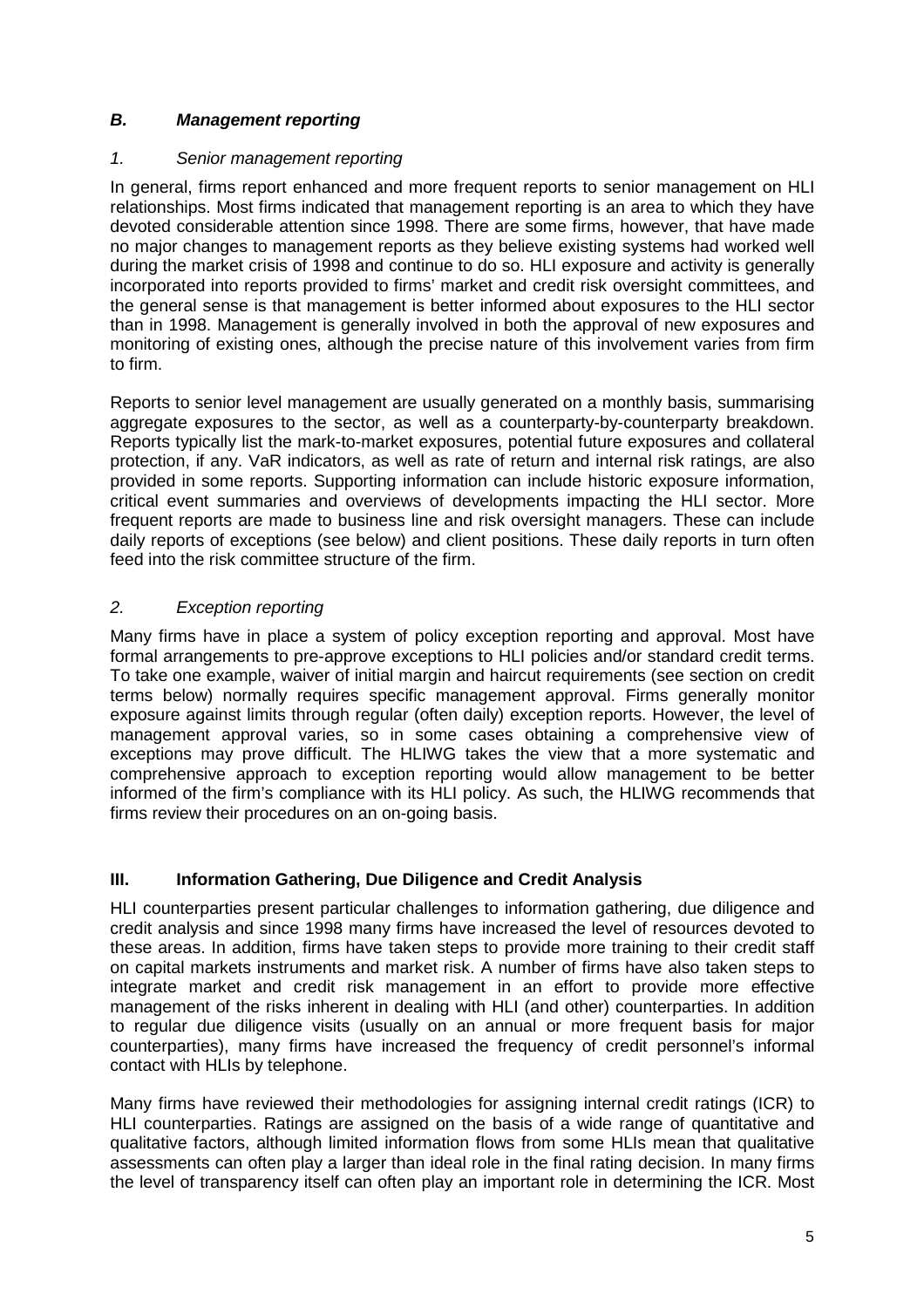# *B. Management reporting*

#### *1. Senior management reporting*

In general, firms report enhanced and more frequent reports to senior management on HLI relationships. Most firms indicated that management reporting is an area to which they have devoted considerable attention since 1998. There are some firms, however, that have made no major changes to management reports as they believe existing systems had worked well during the market crisis of 1998 and continue to do so. HLI exposure and activity is generally incorporated into reports provided to firms' market and credit risk oversight committees, and the general sense is that management is better informed about exposures to the HLI sector than in 1998. Management is generally involved in both the approval of new exposures and monitoring of existing ones, although the precise nature of this involvement varies from firm to firm.

Reports to senior level management are usually generated on a monthly basis, summarising aggregate exposures to the sector, as well as a counterparty-by-counterparty breakdown. Reports typically list the mark-to-market exposures, potential future exposures and collateral protection, if any. VaR indicators, as well as rate of return and internal risk ratings, are also provided in some reports. Supporting information can include historic exposure information, critical event summaries and overviews of developments impacting the HLI sector. More frequent reports are made to business line and risk oversight managers. These can include daily reports of exceptions (see below) and client positions. These daily reports in turn often feed into the risk committee structure of the firm.

# *2. Exception reporting*

Many firms have in place a system of policy exception reporting and approval. Most have formal arrangements to pre-approve exceptions to HLI policies and/or standard credit terms. To take one example, waiver of initial margin and haircut requirements (see section on credit terms below) normally requires specific management approval. Firms generally monitor exposure against limits through regular (often daily) exception reports. However, the level of management approval varies, so in some cases obtaining a comprehensive view of exceptions may prove difficult. The HLIWG takes the view that a more systematic and comprehensive approach to exception reporting would allow management to be better informed of the firm's compliance with its HLI policy. As such, the HLIWG recommends that firms review their procedures on an on-going basis.

# **III.** Information Gathering, Due Diligence and Credit Analysis

HLI counterparties present particular challenges to information gathering, due diligence and credit analysis and since 1998 many firms have increased the level of resources devoted to these areas. In addition, firms have taken steps to provide more training to their credit staff on capital markets instruments and market risk. A number of firms have also taken steps to integrate market and credit risk management in an effort to provide more effective management of the risks inherent in dealing with HLI (and other) counterparties. In addition to regular due diligence visits (usually on an annual or more frequent basis for major counterparties), many firms have increased the frequency of credit personnel's informal contact with HLIs by telephone.

Many firms have reviewed their methodologies for assigning internal credit ratings (ICR) to HLI counterparties. Ratings are assigned on the basis of a wide range of quantitative and qualitative factors, although limited information flows from some HLIs mean that qualitative assessments can often play a larger than ideal role in the final rating decision. In many firms the level of transparency itself can often play an important role in determining the ICR. Most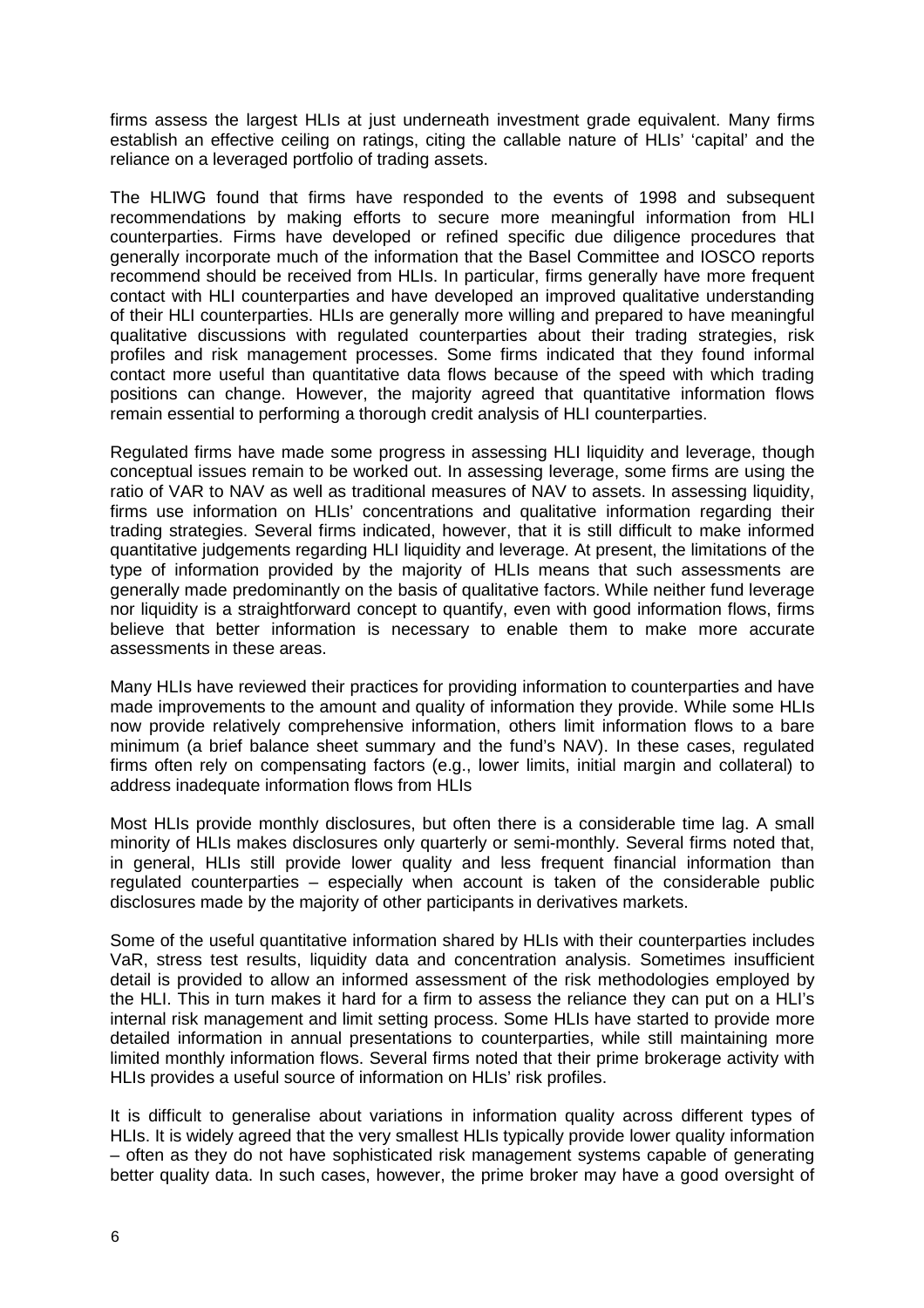firms assess the largest HLIs at just underneath investment grade equivalent. Many firms establish an effective ceiling on ratings, citing the callable nature of HLIs' 'capital' and the reliance on a leveraged portfolio of trading assets.

The HLIWG found that firms have responded to the events of 1998 and subsequent recommendations by making efforts to secure more meaningful information from HLI counterparties. Firms have developed or refined specific due diligence procedures that generally incorporate much of the information that the Basel Committee and IOSCO reports recommend should be received from HLIs. In particular, firms generally have more frequent contact with HLI counterparties and have developed an improved qualitative understanding of their HLI counterparties. HLIs are generally more willing and prepared to have meaningful qualitative discussions with regulated counterparties about their trading strategies, risk profiles and risk management processes. Some firms indicated that they found informal contact more useful than quantitative data flows because of the speed with which trading positions can change. However, the majority agreed that quantitative information flows remain essential to performing a thorough credit analysis of HLI counterparties.

Regulated firms have made some progress in assessing HLI liquidity and leverage, though conceptual issues remain to be worked out. In assessing leverage, some firms are using the ratio of VAR to NAV as well as traditional measures of NAV to assets. In assessing liquidity, firms use information on HLIs' concentrations and qualitative information regarding their trading strategies. Several firms indicated, however, that it is still difficult to make informed quantitative judgements regarding HLI liquidity and leverage. At present, the limitations of the type of information provided by the majority of HLIs means that such assessments are generally made predominantly on the basis of qualitative factors. While neither fund leverage nor liquidity is a straightforward concept to quantify, even with good information flows, firms believe that better information is necessary to enable them to make more accurate assessments in these areas.

Many HLIs have reviewed their practices for providing information to counterparties and have made improvements to the amount and quality of information they provide. While some HLIs now provide relatively comprehensive information, others limit information flows to a bare minimum (a brief balance sheet summary and the fund's NAV). In these cases, regulated firms often rely on compensating factors (e.g., lower limits, initial margin and collateral) to address inadequate information flows from HLIs

Most HLIs provide monthly disclosures, but often there is a considerable time lag. A small minority of HLIs makes disclosures only quarterly or semi-monthly. Several firms noted that, in general, HLIs still provide lower quality and less frequent financial information than regulated counterparties – especially when account is taken of the considerable public disclosures made by the majority of other participants in derivatives markets.

Some of the useful quantitative information shared by HLIs with their counterparties includes VaR, stress test results, liquidity data and concentration analysis. Sometimes insufficient detail is provided to allow an informed assessment of the risk methodologies employed by the HLI. This in turn makes it hard for a firm to assess the reliance they can put on a HLI's internal risk management and limit setting process. Some HLIs have started to provide more detailed information in annual presentations to counterparties, while still maintaining more limited monthly information flows. Several firms noted that their prime brokerage activity with HLIs provides a useful source of information on HLIs' risk profiles.

It is difficult to generalise about variations in information quality across different types of HLIs. It is widely agreed that the very smallest HLIs typically provide lower quality information – often as they do not have sophisticated risk management systems capable of generating better quality data. In such cases, however, the prime broker may have a good oversight of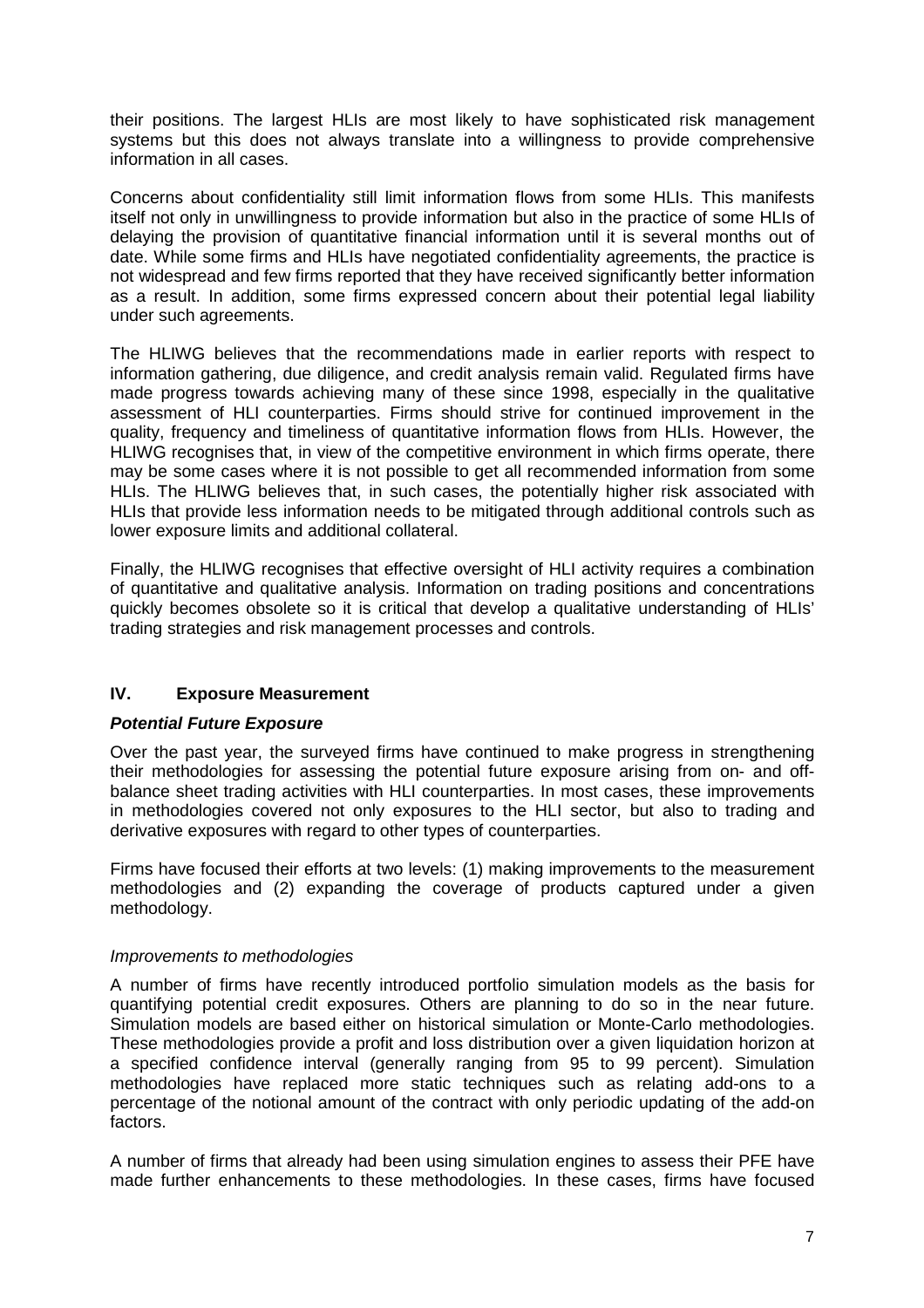their positions. The largest HLIs are most likely to have sophisticated risk management systems but this does not always translate into a willingness to provide comprehensive information in all cases.

Concerns about confidentiality still limit information flows from some HLIs. This manifests itself not only in unwillingness to provide information but also in the practice of some HLIs of delaying the provision of quantitative financial information until it is several months out of date. While some firms and HLIs have negotiated confidentiality agreements, the practice is not widespread and few firms reported that they have received significantly better information as a result. In addition, some firms expressed concern about their potential legal liability under such agreements.

The HLIWG believes that the recommendations made in earlier reports with respect to information gathering, due diligence, and credit analysis remain valid. Regulated firms have made progress towards achieving many of these since 1998, especially in the qualitative assessment of HLI counterparties. Firms should strive for continued improvement in the quality, frequency and timeliness of quantitative information flows from HLIs. However, the HLIWG recognises that, in view of the competitive environment in which firms operate, there may be some cases where it is not possible to get all recommended information from some HLIs. The HLIWG believes that, in such cases, the potentially higher risk associated with HLIs that provide less information needs to be mitigated through additional controls such as lower exposure limits and additional collateral.

Finally, the HLIWG recognises that effective oversight of HLI activity requires a combination of quantitative and qualitative analysis. Information on trading positions and concentrations quickly becomes obsolete so it is critical that develop a qualitative understanding of HLIs' trading strategies and risk management processes and controls.

# **IV. Exposure Measurement**

#### *Potential Future Exposure*

Over the past year, the surveyed firms have continued to make progress in strengthening their methodologies for assessing the potential future exposure arising from on- and offbalance sheet trading activities with HLI counterparties. In most cases, these improvements in methodologies covered not only exposures to the HLI sector, but also to trading and derivative exposures with regard to other types of counterparties.

Firms have focused their efforts at two levels: (1) making improvements to the measurement methodologies and (2) expanding the coverage of products captured under a given methodology.

#### *Improvements to methodologies*

A number of firms have recently introduced portfolio simulation models as the basis for quantifying potential credit exposures. Others are planning to do so in the near future. Simulation models are based either on historical simulation or Monte-Carlo methodologies. These methodologies provide a profit and loss distribution over a given liquidation horizon at a specified confidence interval (generally ranging from 95 to 99 percent). Simulation methodologies have replaced more static techniques such as relating add-ons to a percentage of the notional amount of the contract with only periodic updating of the add-on factors.

A number of firms that already had been using simulation engines to assess their PFE have made further enhancements to these methodologies. In these cases, firms have focused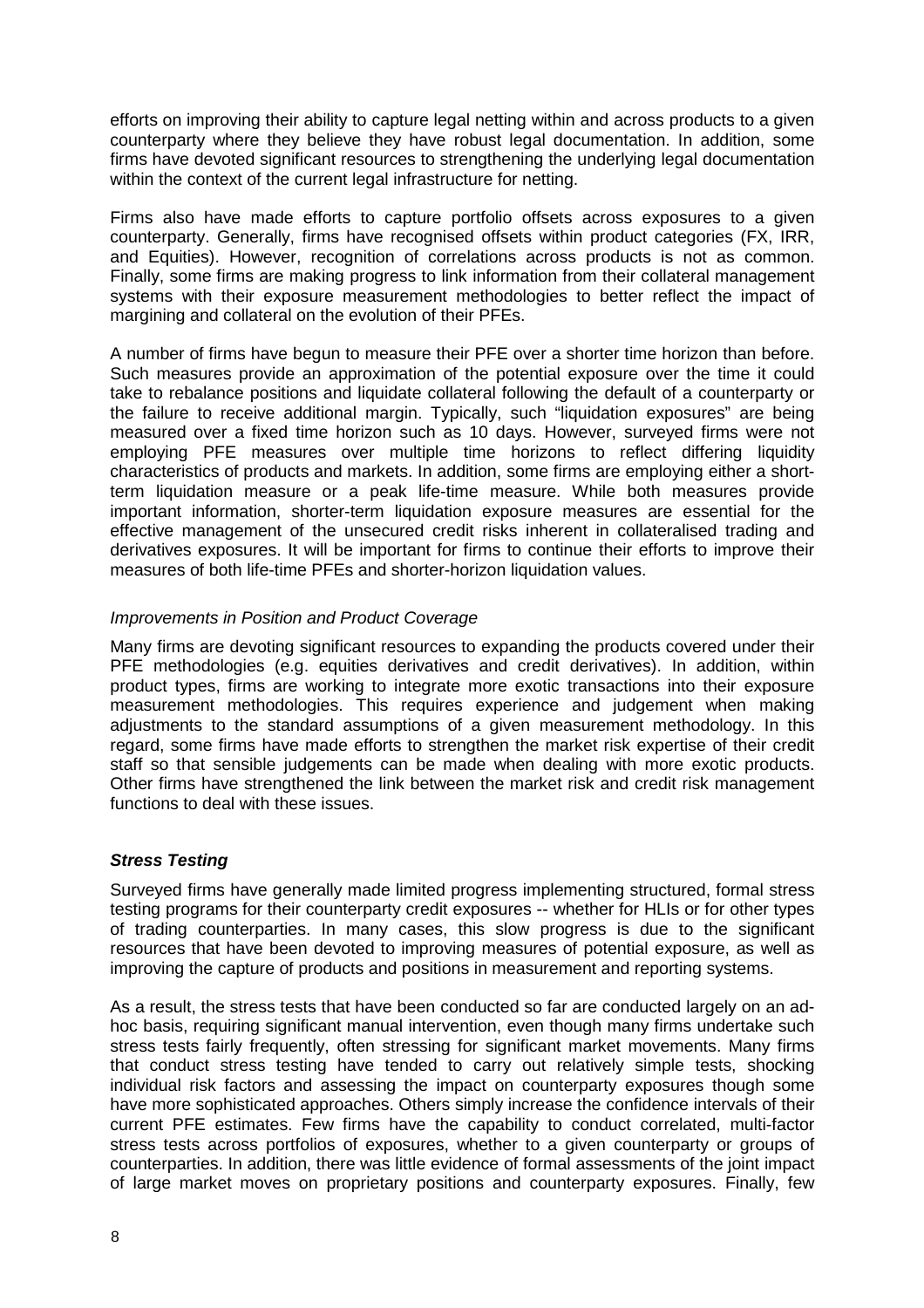efforts on improving their ability to capture legal netting within and across products to a given counterparty where they believe they have robust legal documentation. In addition, some firms have devoted significant resources to strengthening the underlying legal documentation within the context of the current legal infrastructure for netting.

Firms also have made efforts to capture portfolio offsets across exposures to a given counterparty. Generally, firms have recognised offsets within product categories (FX, IRR, and Equities). However, recognition of correlations across products is not as common. Finally, some firms are making progress to link information from their collateral management systems with their exposure measurement methodologies to better reflect the impact of margining and collateral on the evolution of their PFEs.

A number of firms have begun to measure their PFE over a shorter time horizon than before. Such measures provide an approximation of the potential exposure over the time it could take to rebalance positions and liquidate collateral following the default of a counterparty or the failure to receive additional margin. Typically, such "liquidation exposures" are being measured over a fixed time horizon such as 10 days. However, surveyed firms were not employing PFE measures over multiple time horizons to reflect differing liquidity characteristics of products and markets. In addition, some firms are employing either a shortterm liquidation measure or a peak life-time measure. While both measures provide important information, shorter-term liquidation exposure measures are essential for the effective management of the unsecured credit risks inherent in collateralised trading and derivatives exposures. It will be important for firms to continue their efforts to improve their measures of both life-time PFEs and shorter-horizon liquidation values.

#### *Improvements in Position and Product Coverage*

Many firms are devoting significant resources to expanding the products covered under their PFE methodologies (e.g. equities derivatives and credit derivatives). In addition, within product types, firms are working to integrate more exotic transactions into their exposure measurement methodologies. This requires experience and judgement when making adjustments to the standard assumptions of a given measurement methodology. In this regard, some firms have made efforts to strengthen the market risk expertise of their credit staff so that sensible judgements can be made when dealing with more exotic products. Other firms have strengthened the link between the market risk and credit risk management functions to deal with these issues.

#### *Stress Testing*

Surveyed firms have generally made limited progress implementing structured, formal stress testing programs for their counterparty credit exposures -- whether for HLIs or for other types of trading counterparties. In many cases, this slow progress is due to the significant resources that have been devoted to improving measures of potential exposure, as well as improving the capture of products and positions in measurement and reporting systems.

As a result, the stress tests that have been conducted so far are conducted largely on an adhoc basis, requiring significant manual intervention, even though many firms undertake such stress tests fairly frequently, often stressing for significant market movements. Many firms that conduct stress testing have tended to carry out relatively simple tests, shocking individual risk factors and assessing the impact on counterparty exposures though some have more sophisticated approaches. Others simply increase the confidence intervals of their current PFE estimates. Few firms have the capability to conduct correlated, multi-factor stress tests across portfolios of exposures, whether to a given counterparty or groups of counterparties. In addition, there was little evidence of formal assessments of the joint impact of large market moves on proprietary positions and counterparty exposures. Finally, few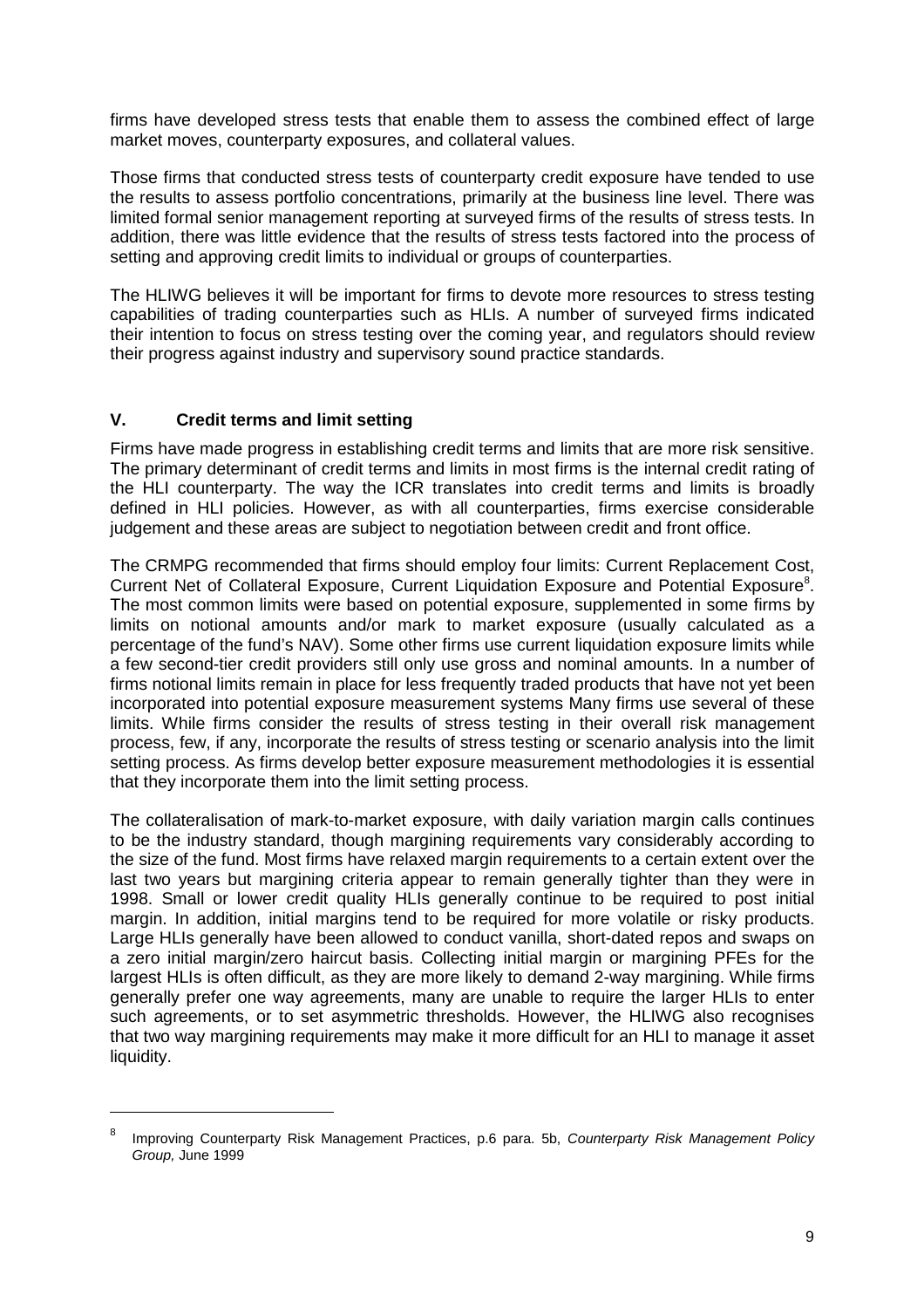firms have developed stress tests that enable them to assess the combined effect of large market moves, counterparty exposures, and collateral values.

Those firms that conducted stress tests of counterparty credit exposure have tended to use the results to assess portfolio concentrations, primarily at the business line level. There was limited formal senior management reporting at surveyed firms of the results of stress tests. In addition, there was little evidence that the results of stress tests factored into the process of setting and approving credit limits to individual or groups of counterparties.

The HLIWG believes it will be important for firms to devote more resources to stress testing capabilities of trading counterparties such as HLIs. A number of surveyed firms indicated their intention to focus on stress testing over the coming year, and regulators should review their progress against industry and supervisory sound practice standards.

#### **V. Credit terms and limit setting**

 $\overline{a}$ 

Firms have made progress in establishing credit terms and limits that are more risk sensitive. The primary determinant of credit terms and limits in most firms is the internal credit rating of the HLI counterparty. The way the ICR translates into credit terms and limits is broadly defined in HLI policies. However, as with all counterparties, firms exercise considerable judgement and these areas are subject to negotiation between credit and front office.

The CRMPG recommended that firms should employ four limits: Current Replacement Cost, Current Net of Collateral Exposure, Current Liquidation Exposure and Potential Exposure<sup>8</sup>. The most common limits were based on potential exposure, supplemented in some firms by limits on notional amounts and/or mark to market exposure (usually calculated as a percentage of the fund's NAV). Some other firms use current liquidation exposure limits while a few second-tier credit providers still only use gross and nominal amounts. In a number of firms notional limits remain in place for less frequently traded products that have not yet been incorporated into potential exposure measurement systems Many firms use several of these limits. While firms consider the results of stress testing in their overall risk management process, few, if any, incorporate the results of stress testing or scenario analysis into the limit setting process. As firms develop better exposure measurement methodologies it is essential that they incorporate them into the limit setting process.

The collateralisation of mark-to-market exposure, with daily variation margin calls continues to be the industry standard, though margining requirements vary considerably according to the size of the fund. Most firms have relaxed margin requirements to a certain extent over the last two years but margining criteria appear to remain generally tighter than they were in 1998. Small or lower credit quality HLIs generally continue to be required to post initial margin. In addition, initial margins tend to be required for more volatile or risky products. Large HLIs generally have been allowed to conduct vanilla, short-dated repos and swaps on a zero initial margin/zero haircut basis. Collecting initial margin or margining PFEs for the largest HLIs is often difficult, as they are more likely to demand 2-way margining. While firms generally prefer one way agreements, many are unable to require the larger HLIs to enter such agreements, or to set asymmetric thresholds. However, the HLIWG also recognises that two way margining requirements may make it more difficult for an HLI to manage it asset liquidity.

<sup>8</sup> Improving Counterparty Risk Management Practices, p.6 para. 5b, *Counterparty Risk Management Policy Group,* June 1999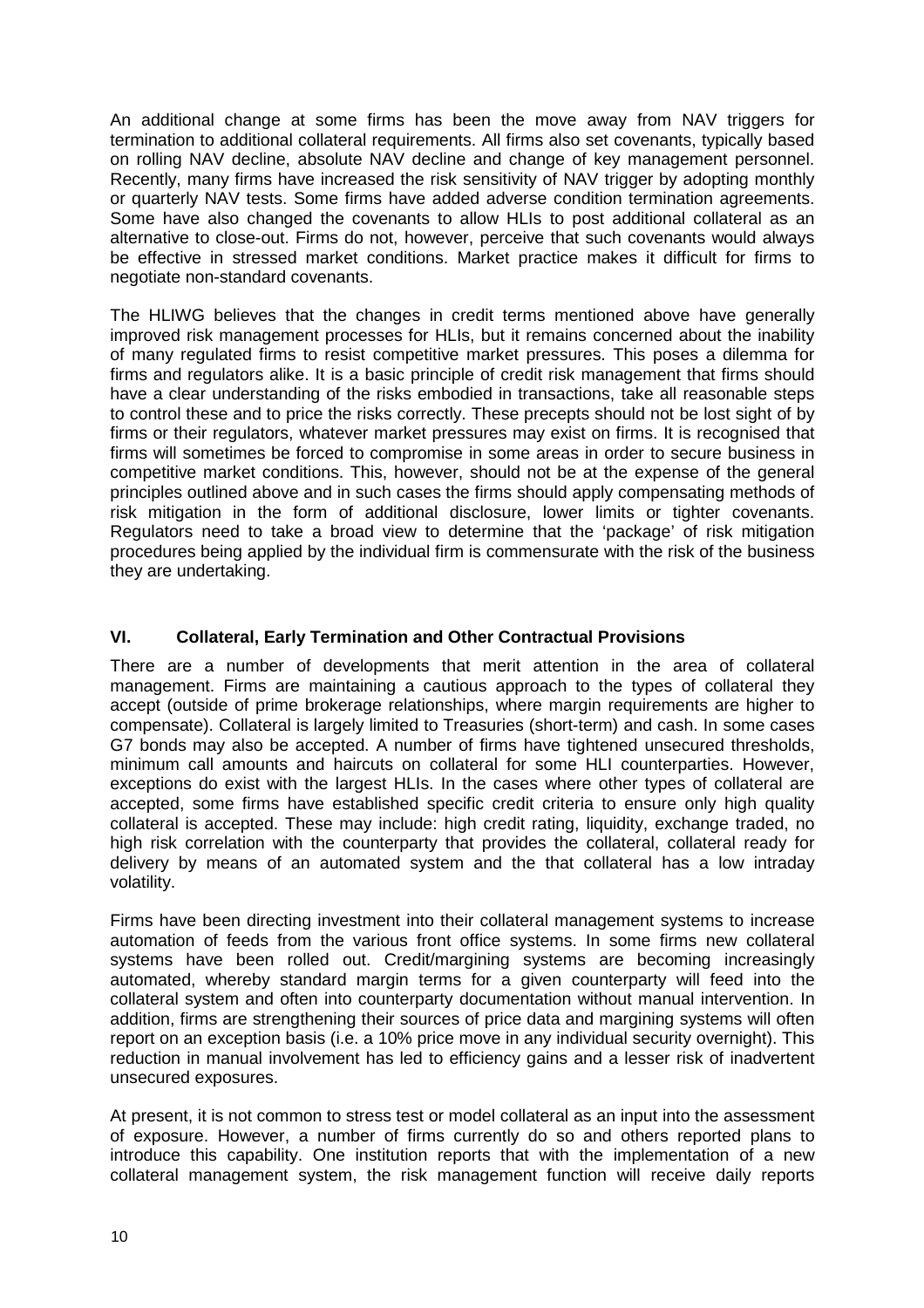An additional change at some firms has been the move away from NAV triggers for termination to additional collateral requirements. All firms also set covenants, typically based on rolling NAV decline, absolute NAV decline and change of key management personnel. Recently, many firms have increased the risk sensitivity of NAV trigger by adopting monthly or quarterly NAV tests. Some firms have added adverse condition termination agreements. Some have also changed the covenants to allow HLIs to post additional collateral as an alternative to close-out. Firms do not, however, perceive that such covenants would always be effective in stressed market conditions. Market practice makes it difficult for firms to negotiate non-standard covenants.

The HLIWG believes that the changes in credit terms mentioned above have generally improved risk management processes for HLIs, but it remains concerned about the inability of many regulated firms to resist competitive market pressures. This poses a dilemma for firms and regulators alike. It is a basic principle of credit risk management that firms should have a clear understanding of the risks embodied in transactions, take all reasonable steps to control these and to price the risks correctly. These precepts should not be lost sight of by firms or their regulators, whatever market pressures may exist on firms. It is recognised that firms will sometimes be forced to compromise in some areas in order to secure business in competitive market conditions. This, however, should not be at the expense of the general principles outlined above and in such cases the firms should apply compensating methods of risk mitigation in the form of additional disclosure, lower limits or tighter covenants. Regulators need to take a broad view to determine that the 'package' of risk mitigation procedures being applied by the individual firm is commensurate with the risk of the business they are undertaking.

# **VI. Collateral, Early Termination and Other Contractual Provisions**

There are a number of developments that merit attention in the area of collateral management. Firms are maintaining a cautious approach to the types of collateral they accept (outside of prime brokerage relationships, where margin requirements are higher to compensate). Collateral is largely limited to Treasuries (short-term) and cash. In some cases G7 bonds may also be accepted. A number of firms have tightened unsecured thresholds, minimum call amounts and haircuts on collateral for some HLI counterparties. However, exceptions do exist with the largest HLIs. In the cases where other types of collateral are accepted, some firms have established specific credit criteria to ensure only high quality collateral is accepted. These may include: high credit rating, liquidity, exchange traded, no high risk correlation with the counterparty that provides the collateral, collateral ready for delivery by means of an automated system and the that collateral has a low intraday volatility.

Firms have been directing investment into their collateral management systems to increase automation of feeds from the various front office systems. In some firms new collateral systems have been rolled out. Credit/margining systems are becoming increasingly automated, whereby standard margin terms for a given counterparty will feed into the collateral system and often into counterparty documentation without manual intervention. In addition, firms are strengthening their sources of price data and margining systems will often report on an exception basis (i.e. a 10% price move in any individual security overnight). This reduction in manual involvement has led to efficiency gains and a lesser risk of inadvertent unsecured exposures.

At present, it is not common to stress test or model collateral as an input into the assessment of exposure. However, a number of firms currently do so and others reported plans to introduce this capability. One institution reports that with the implementation of a new collateral management system, the risk management function will receive daily reports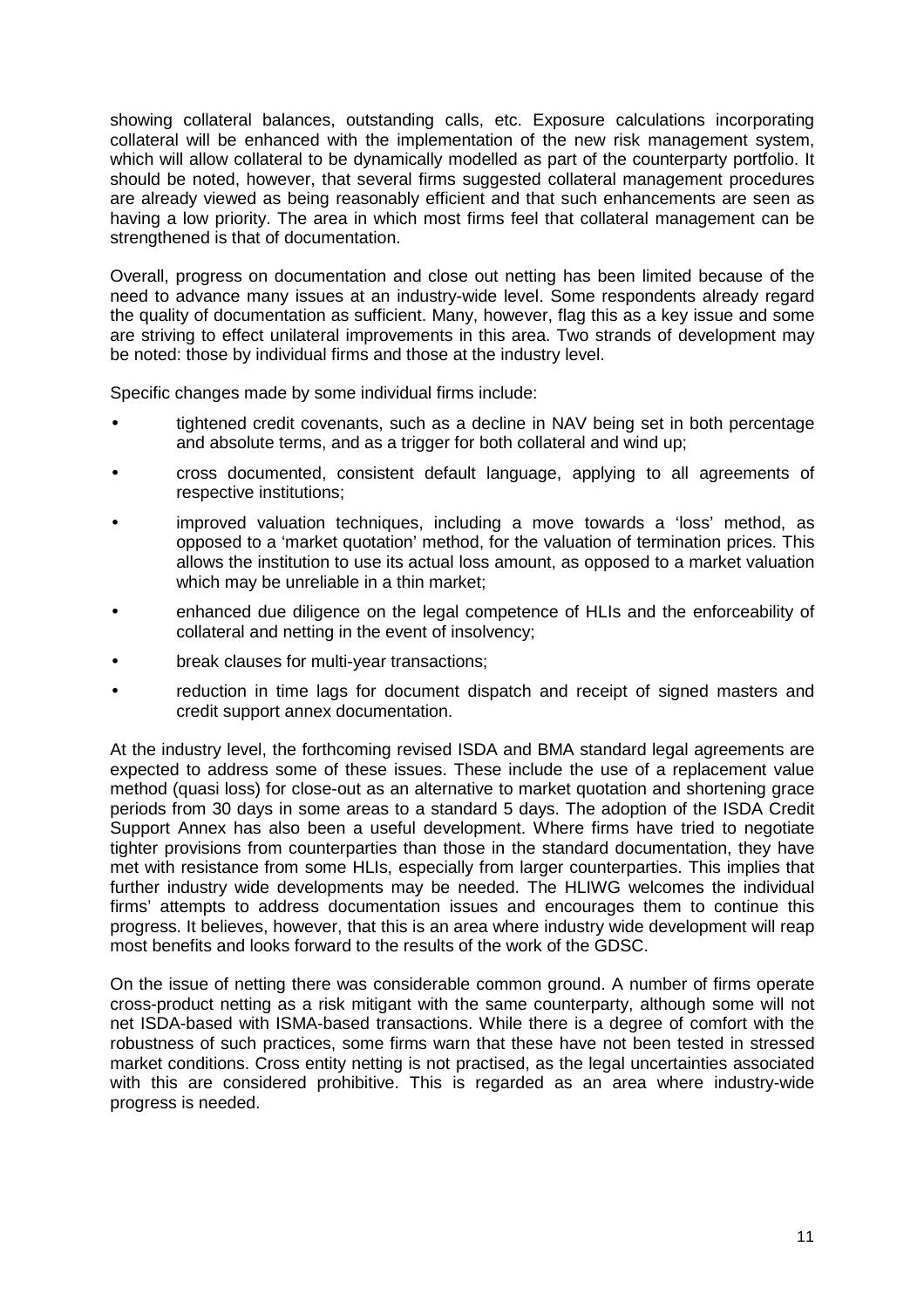showing collateral balances, outstanding calls, etc. Exposure calculations incorporating collateral will be enhanced with the implementation of the new risk management system, which will allow collateral to be dynamically modelled as part of the counterparty portfolio. It should be noted, however, that several firms suggested collateral management procedures are already viewed as being reasonably efficient and that such enhancements are seen as having a low priority. The area in which most firms feel that collateral management can be strengthened is that of documentation.

Overall, progress on documentation and close out netting has been limited because of the need to advance many issues at an industry-wide level. Some respondents already regard the quality of documentation as sufficient. Many, however, flag this as a key issue and some are striving to effect unilateral improvements in this area. Two strands of development may be noted: those by individual firms and those at the industry level.

Specific changes made by some individual firms include:

- tightened credit covenants, such as a decline in NAV being set in both percentage and absolute terms, and as a trigger for both collateral and wind up;
- cross documented, consistent default language, applying to all agreements of respective institutions;
- improved valuation techniques, including a move towards a 'loss' method, as opposed to a 'market quotation' method, for the valuation of termination prices. This allows the institution to use its actual loss amount, as opposed to a market valuation which may be unreliable in a thin market;
- enhanced due diligence on the legal competence of HLIs and the enforceability of collateral and netting in the event of insolvency;
- break clauses for multi-year transactions;
- reduction in time lags for document dispatch and receipt of signed masters and credit support annex documentation.

At the industry level, the forthcoming revised ISDA and BMA standard legal agreements are expected to address some of these issues. These include the use of a replacement value method (quasi loss) for close-out as an alternative to market quotation and shortening grace periods from 30 days in some areas to a standard 5 days. The adoption of the ISDA Credit Support Annex has also been a useful development. Where firms have tried to negotiate tighter provisions from counterparties than those in the standard documentation, they have met with resistance from some HLIs, especially from larger counterparties. This implies that further industry wide developments may be needed. The HLIWG welcomes the individual firms' attempts to address documentation issues and encourages them to continue this progress. It believes, however, that this is an area where industry wide development will reap most benefits and looks forward to the results of the work of the GDSC.

On the issue of netting there was considerable common ground. A number of firms operate cross-product netting as a risk mitigant with the same counterparty, although some will not net ISDA-based with ISMA-based transactions. While there is a degree of comfort with the robustness of such practices, some firms warn that these have not been tested in stressed market conditions. Cross entity netting is not practised, as the legal uncertainties associated with this are considered prohibitive. This is regarded as an area where industry-wide progress is needed.